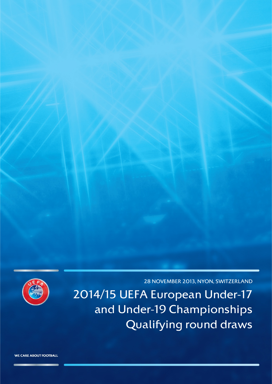

28 NOVEMBER 2013, NYON, SWITZERLAND

2014/15 UEFA European Under-17 and Under-19 Championships Qualifying round draws

WE CARE ABOUT FOOTBALL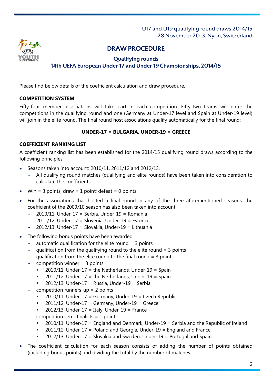

## DRAW PROCEDURE

#### Qualifying rounds 14th UEFA European Under-17 and Under-19 Championships, 2014/15

Please find below details of the coefficient calculation and draw procedure.

### **COMPETITION SYSTEM**

Fifty-four member associations will take part in each competition. Fifty-two teams will enter the competitions in the qualifying round and one (Germany at Under-17 level and Spain at Under-19 level) will join in the elite round. The final round host associations qualify automatically for the final round:

#### **UNDER-17 = BULGARIA, UNDER-19 = GREECE**

#### **COEFFICIENT RANKING LIST**

A coefficient ranking list has been established for the 2014/15 qualifying round draws according to the following principles.

- Seasons taken into account: 2010/11, 2011/12 and 2012/13.
	- All qualifying round matches (qualifying and elite rounds) have been taken into consideration to calculate the coefficients.
- Win = 3 points; draw = 1 point; defeat = 0 points.
- For the associations that hosted a final round in any of the three aforementioned seasons, the coefficient of the 2009/10 season has also been taken into account.
	- $-$  2010/11: Under-17 = Serbia, Under-19 = Romania
	- $2011/12$ : Under-17 = Slovenia, Under-19 = Estonia
	- $2012/13$ : Under-17 = Slovakia, Under-19 = Lithuania
- The following bonus points have been awarded:
	- automatic qualification for the elite round  $=$  3 points
	- qualification from the qualifying round to the elite round  $=$  3 points
	- qualification from the elite round to the final round  $= 3$  points
	- $\text{-} \quad$  competition winner = 3 points
		- $\blacksquare$  2010/11: Under-17 = the Netherlands, Under-19 = Spain
		- $2011/12$ : Under-17 = the Netherlands, Under-19 = Spain
		- 2012/13: Under-17 = Russia, Under-19 = Serbia
	- competition runners-up  $= 2$  points
		- 2010/11: Under-17 = Germany, Under-19 = Czech Republic
		- $\blacksquare$  2011/12: Under-17 = Germany, Under-19 = Greece
		- 2012/13: Under-17 = Italy, Under-19 = France
	- competition semi-finalists  $= 1$  point
		- 2010/11: Under-17 = England and Denmark, Under-19 = Serbia and the Republic of Ireland
		- $\blacksquare$  2011/12: Under-17 = Poland and Georgia, Under-19 = England and France
		- $2012/13$ : Under-17 = Slovakia and Sweden, Under-19 = Portugal and Spain
- The coefficient calculation for each season consists of adding the number of points obtained (including bonus points) and dividing the total by the number of matches.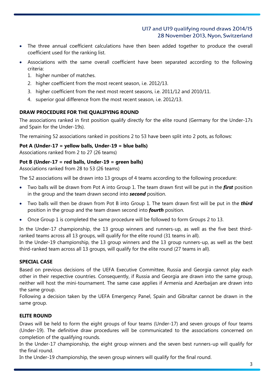- The three annual coefficient calculations have then been added together to produce the overall coefficient used for the ranking list.
- Associations with the same overall coefficient have been separated according to the following criteria:
	- 1. higher number of matches.
	- 2. higher coefficient from the most recent season, i.e. 2012/13.
	- 3. higher coefficient from the next most recent seasons, i.e. 2011/12 and 2010/11.
	- 4. superior goal difference from the most recent season, i.e. 2012/13.

### **DRAW PROCEDURE FOR THE QUALIFYING ROUND**

The associations ranked in first position qualify directly for the elite round (Germany for the Under-17s and Spain for the Under-19s).

The remaining 52 associations ranked in positions 2 to 53 have been split into 2 pots, as follows:

### **Pot A (Under-17 = yellow balls, Under-19 = blue balls)**

Associations ranked from 2 to 27 (26 teams)

### **Pot B (Under-17 = red balls, Under-19 = green balls)**

Associations ranked from 28 to 53 (26 teams)

The 52 associations will be drawn into 13 groups of 4 teams according to the following procedure:

- Two balls will be drawn from Pot A into Group 1. The team drawn first will be put in the *first* position in the group and the team drawn second into *second* position.
- Two balls will then be drawn from Pot B into Group 1. The team drawn first will be put in the *third* position in the group and the team drawn second into *fourth* position.
- Once Group 1 is completed the same procedure will be followed to form Groups 2 to 13.

In the Under-17 championship, the 13 group winners and runners-up, as well as the five best thirdranked teams across all 13 groups, will qualify for the elite round (31 teams in all).

In the Under-19 championship, the 13 group winners and the 13 group runners-up, as well as the best third-ranked team across all 13 groups, will qualify for the elite round (27 teams in all).

### **SPECIAL CASE**

Based on previous decisions of the UEFA Executive Committee, Russia and Georgia cannot play each other in their respective countries. Consequently, if Russia and Georgia are drawn into the same group, neither will host the mini-tournament. The same case applies if Armenia and Azerbaijan are drawn into the same group.

Following a decision taken by the UEFA Emergency Panel, Spain and Gibraltar cannot be drawn in the same group.

### **ELITE ROUND**

Draws will be held to form the eight groups of four teams (Under-17) and seven groups of four teams (Under-19). The definitive draw procedures will be communicated to the associations concerned on completion of the qualifying rounds.

In the Under-17 championship, the eight group winners and the seven best runners-up will qualify for the final round.

In the Under-19 championship, the seven group winners will qualify for the final round.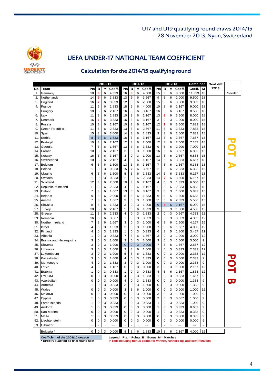

# UEFA UNDER-17 NATIONAL TEAM COEFFICIENT

## Calculation for the 2014/15 qualifying round

|     |                        |                     |             | 2010/11 |        |                |             | 2011/12 |        |                         |                         | 2012/13 |        | Combined |    | Goal diff |              |
|-----|------------------------|---------------------|-------------|---------|--------|----------------|-------------|---------|--------|-------------------------|-------------------------|---------|--------|----------|----|-----------|--------------|
| No. | Team                   | Pts                 | в           | М       | Coeff. | Pts            | в           | М       | Coeff. | Pts                     | в                       | M       | Coeff. | Coeff.   | Μ  | 12/13     |              |
| 1.  | Germany                | 18                  | 8           | 6       | 4.333  | 16             | 8           | 6       | 4.000  | 15                      | 3                       | 6       | 3.000  | 11.333   | 18 |           | Seeded       |
| 2.  | Netherlands            | 14                  | 9           | 6       | 3.833  | 13             | 9           | 6       | 3.667  | 9                       | 3                       | 6       | 2.000  | 9.500    | 18 |           |              |
| 3.  | England                | 16                  | 7           | 6       | 3.833  | 12             | 3           | 6       | 2.500  | 15                      | 3                       | 6       | 3.000  | 9.333    | 18 |           |              |
| 4.  | France                 | 11                  | 6           | 6       | 2.833  | 18             | 6           | 6       | 4.000  | 10                      | 3                       | 6       | 2.167  | 9.000    | 18 |           |              |
| 5.  | Hungary                | 10                  | 3           | 6       | 2.167  | 16             | 3           | 6       | 3.167  | 16                      | 3                       | 6       | 3.167  | 8.500    | 18 |           |              |
| 6.  | Italy                  | 11                  | 3           | 6       | 2.333  | 10             | 3           | 6       | 2.167  | 13                      | 8                       | 6       | 3.500  | 8.000    | 18 |           |              |
| 7.  | Denmark                | 16                  | 7           | 6       | 3.833  | 16             | 3           | 6       | 3.167  | 3                       | $\mathbf 0$             | 3       | 1.000  | 8.000    | 15 |           |              |
| 8.  | Russia                 | 10                  | 3           | 6       | 2.167  | 10             | 3           | 6       | 2.167  | 12                      | 9                       | 6       | 3.500  | 7.833    | 18 |           |              |
| 9.  | <b>Czech Republic</b>  | 11                  | 6           | 6       | 2.833  | 13             | 3           | 6       | 2.667  | 11                      | 3                       | 6       | 2.333  | 7.833    | 18 |           |              |
| 10. | Spain                  | 15                  | 3           | 6       | 3.000  | 14             | 3           | 6       | 2.833  | 9                       | 3                       | 6       | 2.000  | 7.833    | 18 |           |              |
| 11. | Serbia                 | 8                   | 3           | 6       | 1.833  | 16             | 3           | 6       | 3.167  | 13                      | 3                       | 6       | 2.667  | 7.667    | 18 |           |              |
| 12. | Portugal               | 10                  | 3           | 6       | 2.167  | 12             | 3           | 6       | 2.500  | 12                      | 3                       | 6       | 2.500  | 7.167    | 18 |           |              |
| 13. | Georgia                | 7                   | 3           | 6       | 1.667  | 13             | 7           | 6       | 3.333  | 9                       | 3                       | 6       | 2.000  | 7.000    | 18 |           | OT A         |
| 14. | Croatia                | 10                  | 3           | 6       | 2.167  | 3              | 0           | 3       | 1.000  | 16                      | 6                       | 6       | 3.667  | 6.833    | 15 |           |              |
| 15. | Norway                 | 16                  | 3           | 6       | 3.167  | 3              | 0           | 3       | 1.000  | 13                      | 3                       | 6       | 2.667  | 6.833    | 15 |           |              |
| 16. | Switzerland            | 10                  | 3           | 6       | 2.167  | $\overline{4}$ | 3           | 6       | 1.167  | 14                      | 6                       | 6       | 3.333  | 6.667    | 18 |           |              |
| 17  | Belgium                | 6                   | 3           | 6       | 1.500  | 13             | 6           | 6       | 3.167  | $\overline{7}$          | 3                       | 6       | 1.667  | 6.333    | 18 |           |              |
| 18. | Poland                 | 1                   | 0           | 3       | 0.333  | 15             | 7           | 6       | 3.667  | 11                      | 3                       | 6       | 2.333  | 6.333    | 15 |           |              |
| 19. | Ukraine                | 6                   | 3           | 6       | 1.500  | 5              | 3           | 6       | 1.333  | 14                      | 6                       | 6       | 3.333  | 6.167    | 18 |           |              |
| 20. | Sweden                 | 1                   | 0           | 3       | 0.333  | 11             | 3           | 6       | 2.333  | 14                      | $\overline{7}$          | 6       | 3.500  | 6.167    | 15 |           |              |
| 21. | Scotland               | 12                  | 3           | 6       | 2.500  | 10             | 3           | 6       | 2.167  | 4                       | 0                       | 3       | 1.333  | 6.000    | 15 |           |              |
| 22  | Republic of Ireland    | 11                  | 3           | 6       | 2.333  | 4              | 3           | 6       | 1.167  | 11                      | 3                       | 6       | 2.333  | 5.833    | 18 |           |              |
| 23. | Iceland                | 7                   | 3           | 6       | 1.667  | 13             | 6           | 6       | 3.167  | 3                       | 0                       | 3       | 1.000  | 5.833    | 15 |           |              |
| 24. | <b>Belarus</b>         | 9                   | 3           | 6       | 2.000  | 8              | 3           | 6       | 1.833  | 6                       | 3                       | 5       | 1.800  | 5.633    | 17 |           |              |
| 25. | Austria                | 7                   | 3           | 6       | 1.667  | 3              | 0           | 3       | 1.000  | 11                      | 6                       | 6       | 2.833  | 5.500    | 15 |           |              |
| 26. | Slovakia               | 8                   | 3           | 6       | 1.833  | 3              | 0           | 3       | 1.000  | 9                       | $\overline{\mathbf{4}}$ | 6       | 2.167  | 5.000    | 15 |           |              |
| 27. | Turkey                 | 10                  | 3           | 6       | 2.167  | 5              | 3           | 6       | 1.333  | 3                       | 0                       | 3       | 1.000  | 4.500    | 15 |           |              |
| 28. | Greece                 | 11                  | 3           | 6       | 2.333  | $\overline{4}$ | 0           | 3       | 1.333  | $\overline{\mathbf{c}}$ | $\mathbf 0$             | 3       | 0.667  | 4.333    | 12 |           |              |
| 29. | Romania                | 16                  | 6           | 6       | 3.667  | $\mathbf{1}$   | 0           | 3       | 0.333  | 1                       | 0                       | 3       | 0.333  | 4.333    | 12 |           |              |
| 30. | Northern Ireland       | 7                   | 3           | 6       | 1.667  | 3              | 0           | 3       | 1.000  | 6                       | 3                       | 6       | 1.500  | 4.167    | 15 |           |              |
| 31. | Israel                 | 4                   | 0           | 3       | 1.333  | 3              | 0           | 3       | 1.000  | 7                       | 3                       | 6       | 1.667  | 4.000    | 12 |           |              |
| 32. | Finland                | 4                   | 0           | 3       | 1.333  | $\mathbf{1}$   | 0           | 3       | 0.333  | 6                       | 3                       | 5       | 1.800  | 3.467    | 11 |           |              |
| 33. | Albania                | 1                   | 0           | 3       | 0.333  | 7              | 3           | 6       | 1.667  | 3                       | 0                       | 3       | 1.000  | 3.000    | 12 |           |              |
| 34  | Bosnia and Herzegovina | 3                   | 0           | 3       | 1.000  | 3              | 0           | 3       | 1.000  | 3                       | 0                       | 3       | 1.000  | 3.000    | 9  |           |              |
| 35. | Slovenia               | 3                   | 0           | 3       | 1.000  | $\mathbf 0$    | $\mathbf 0$ | 3       | 0.000  | 7                       | 3                       | 6       | 1.667  | 2.667    | 12 |           |              |
| 36. | Lithuania              | 3                   | 0           | 3       | 1.000  | 3              | 3           | 6       | 1.000  | 1                       | 0                       | 3       | 0.333  | 2.333    | 12 |           |              |
| 37. | Luxembourg             | 3                   | 0           | 3       | 1.000  | 5              | 3           | 6       | 1.333  | 0                       | $\mathbf 0$             | 3       | 0.000  | 2.333    | 12 |           |              |
| 38  | Kazakhstan             | 3                   | 0           | 3       | 1.000  | $\overline{4}$ | 0           | 3       | 1.333  | 0                       | 0                       | 3       | 0.000  | 2.333    | 9  |           |              |
| 39. | Montenegro             | 4                   | 0           | 3       | 1.333  | 3              | 0           | 3       | 1.000  | 0                       | 0                       | 3       | 0.000  | 2.333    | 9  |           |              |
| 40. | Latvia                 | 4                   | 3           | 6       | 1.167  | 0              | 0           | 3       | 0.000  | 3                       | 0                       | 3       | 1.000  | 2.167    | 12 |           | $\mathbf{Q}$ |
| 41. | Estonia                | 1                   | 0           | 3       | 0.333  | 1              | 0           | 3       | 0.333  | 4                       | 3                       | 6       | 1.167  | 1.833    | 12 |           |              |
| 42. | <b>FYROM</b>           | 0                   | 0           | 3       | 0.000  | $\overline{4}$ | 0           | 3       | 1.333  | 1                       | 0                       | 3       | 0.333  | 1.667    | 9  |           |              |
| 43. | Azerbaijan             | 0                   | 0           | 3       | 0.000  | 4              | 0           | 3       | 1.333  | 0                       | $\mathbf 0$             | 3       | 0.000  | 1.333    | 9  |           | U.           |
| 44. | Armenia                | $\mathbf{1}$        | 0           | 3       | 0.333  | 3              | $\mathbf 0$ | 3       | 1.000  | 0                       | $\Omega$                | 3       | 0.000  | 1.333    | 9  |           |              |
| 45. | Wales                  | 0                   | 0           | 3       | 0.000  | 3              | 3           | 6       | 1.000  | 0                       | 0                       | 3       | 0.000  | 1.000    | 12 |           |              |
| 46. | Moldova                | 0                   | 0           | 3       | 0.000  | 0              | 0           | 3       | 0.000  | 3                       | 0                       | 3       | 1.000  | 1.000    | 9  |           |              |
|     | 47. Cyprus             | 1                   | $\mathbf 0$ | 3       | 0.333  | 0              | 0           | 3       | 0.000  | 2                       | 0                       | 3       | 0.667  | 1.000    | 9  |           |              |
| 48. | <b>Faroe Islands</b>   | 1                   | 0           | 3       | 0.333  | 1              | 0           | 3       | 0.333  | 1                       | $\mathbf 0$             | 3       | 0.333  | 1.000    | 9  |           |              |
| 49. | Andorra                | 1                   | 0           | 3       | 0.333  | 0              | 0           | 3       | 0.000  | 1                       | $\mathsf 0$             | 3       | 0.333  | 0.667    | 9  |           |              |
| 50. | San Marino             | 0                   | 0           | 3       | 0.000  | 0              | 0           | 3       | 0.000  | 1                       | 0                       | 3       | 0.333  | 0.333    | 9  |           |              |
|     | 51. Malta              | 1                   | 0           | 3       | 0.333  | 0              | 0           | 3       | 0.000  | 0                       | $\mathbf 0$             | 3       | 0.000  | 0.333    | 9  |           |              |
| 52. | Liechtenstein          | 0                   | 0           | 3       | 0.000  | 0              | 0           | 3       | 0.000  | 0                       | 0                       | 3       | 0.000  | 0.000    | 9  |           |              |
|     | 53. Gibraltar          |                     |             |         |        |                |             |         |        |                         |                         |         |        |          |    |           |              |
|     | Bulgaria *             | $\mathsf{O}\xspace$ | 0           | 3       | 0.000  | 8              | 3           | 6       | 1.833  | 10                      | 3                       | 6       | 2.167  | 4.000    | 15 |           |              |
|     |                        |                     |             |         |        |                |             |         |        |                         |                         |         |        |          |    |           |              |

**Legend: Pts. = Points; B = Bonus; M = Matches** 

**Coefficient of the 2009/10 season**

In red: including bonus points for winner, runners-up, and semi-finalists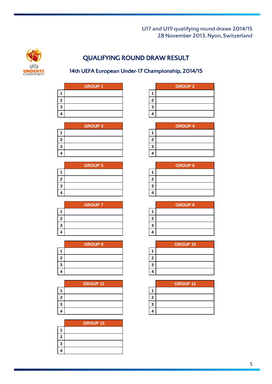

# QUALIFYING ROUND DRAW RESULT

# 14th UEFA European Under-17 Championship, 2014/15

|   | <b>GROUP 1</b> |   |
|---|----------------|---|
|   |                |   |
| 2 |                | 2 |
| 3 |                | ว |
|   |                |   |

| <b>GROUP 3</b> |  |
|----------------|--|
|                |  |
|                |  |
|                |  |
|                |  |

|   | <b>GROUP 5</b> |   |
|---|----------------|---|
|   |                |   |
|   |                | 2 |
| 7 |                | 2 |
|   |                |   |

|   | <b>GROUP 7</b> |   |
|---|----------------|---|
|   |                |   |
|   |                | 2 |
| າ |                | າ |
|   |                |   |

| <b>GROUP 9</b> |   |
|----------------|---|
|                |   |
|                | 2 |
|                | 2 |
|                |   |

|   | <b>GROUP 11</b> |   |
|---|-----------------|---|
|   |                 |   |
| 2 |                 | 2 |
| າ |                 | 2 |
|   |                 |   |

|   | <b>GROUP 13</b> |
|---|-----------------|
|   |                 |
| 2 |                 |
| 3 |                 |
| 4 |                 |

| <b>GROUP 1</b> |    | <b>GROUP 2</b> |
|----------------|----|----------------|
|                |    |                |
|                |    |                |
|                | ., |                |
|                |    |                |

| <b>GROUP 3</b> |    | <b>GROUP 4</b> |
|----------------|----|----------------|
|                |    |                |
|                |    |                |
|                | ., |                |
|                |    |                |

| <b>GROUP 5</b> |   | <b>GROUP 6</b> |
|----------------|---|----------------|
|                |   |                |
|                |   |                |
|                | 2 |                |
|                |   |                |

| <b>GROUP 7</b> |   | <b>GROUP 8</b> |
|----------------|---|----------------|
|                |   |                |
|                | ۰ |                |
|                | o |                |
|                |   |                |

| <b>GROUP 9</b> |    | <b>GROUP 10</b> |
|----------------|----|-----------------|
|                |    |                 |
|                | ٠  |                 |
|                | a, |                 |
|                |    |                 |

| <b>GROUP 11</b> |   | <b>GROUP 12</b> |
|-----------------|---|-----------------|
|                 |   |                 |
|                 | ٠ |                 |
|                 | 3 |                 |
|                 |   |                 |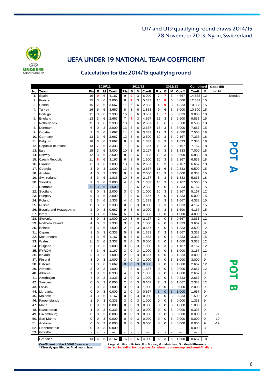

# UEFA UNDER-19 NATIONAL TEAM COEFFICIENT

## Calculation for the 2014/15 qualifying round

| 12/13<br>Coeff.<br>Pts<br>в<br>Coeff.<br>No.<br><b>Team</b><br>Pts<br>в<br>М<br>Coeff.<br>Pts<br>в<br>M<br>M<br>Coeff.<br>М<br>3<br>$\overline{7}$<br>7<br>3<br>Spain<br>16<br>9<br>6<br>4.167<br>9<br>9<br>4.667<br>14.833<br>12<br>6.000<br>1.<br>France<br>6<br>7<br>3<br>15<br>15<br>3<br>3.000<br>9<br>5.333<br>16<br>8<br>6<br>4.000<br>12.333<br>2.<br>6<br>2.833<br>9<br>3<br>4.333<br>10.833<br>15<br>3.<br>Serbia<br>15<br>7<br>6<br>3.667<br>11<br>6<br>4<br>8<br>3<br>1.833<br>6<br>5.000<br>10.500<br>15<br>Turkey<br>16<br>6<br>6<br>3.667<br>6<br>9<br>3<br>4.<br>$\overline{7}$<br>Portugal<br>3<br>6<br>16<br>6<br>9.833<br>18<br>11<br>2.333<br>6<br>3.667<br>16<br>6<br>3.833<br>5.<br>3<br>2.667<br>$\overline{7}$<br>7<br>4.667<br>3<br>2.500<br>9.833<br>15<br>England<br>13<br>6<br>3<br>12<br>6<br>6.<br>3<br>13<br>3<br>6<br>3.500<br>18<br>7.<br>Netherlands<br>11<br>6<br>2.333<br>6<br>2.667<br>15<br>6<br>8.500<br>3<br>2.000<br>13<br>3<br>3<br>7.667<br>15<br>8.<br>Denmark<br>6<br>0<br>6<br>2.667<br>15<br>6<br>3.000<br>$\overline{7}$<br>3<br>6<br>6<br>3.333<br>3<br>7.500<br>18<br>9.<br>Croatia<br>1.667<br>14<br>6<br>12<br>6<br>2.500<br>3<br>12<br>3<br>3<br>7.333<br>18<br>Germany<br>13<br>6<br>2.667<br>6<br>2.500<br>10<br>6<br>2.167<br>10.<br>3<br>3<br>6<br>6<br>3.667<br>8<br>6<br>7.333<br>18<br>Belgium<br>16<br>1.833<br>8<br>6<br>1.833<br>11.<br>POT A<br>6<br>3.333<br>$\overline{7}$<br>3<br>1.667<br>3<br>2.167<br>7.167<br>18<br>Republic of Ireland<br>13<br>7<br>6<br>10<br>6<br>12.<br>3<br>10<br>3<br>3<br>Italy<br>15<br>6<br>3.000<br>6<br>2.167<br>8<br>6<br>1.833<br>7.000<br>18<br>13.<br>3<br>3<br>12<br>3<br>6<br>2.500<br>8<br>6<br>12<br>6<br>2.500<br>6.833<br>18<br>Norway<br>1.833<br>14.<br>6<br>6<br>3<br>1.500<br>3<br>2.167<br>6.833<br>18<br><b>Czech Republic</b><br>11<br>8<br>3.167<br>6<br>10<br>6<br>15.<br>3<br>6<br>13<br>3<br>3<br>6.667<br>Ukraine<br>8<br>1.833<br>6<br>2.667<br>10<br>6<br>2.167<br>18<br>16. |  |  | 2010/11 |  | 2011/12 |  | 2012/13 | Combined | <b>Goal diff</b> |        |
|---------------------------------------------------------------------------------------------------------------------------------------------------------------------------------------------------------------------------------------------------------------------------------------------------------------------------------------------------------------------------------------------------------------------------------------------------------------------------------------------------------------------------------------------------------------------------------------------------------------------------------------------------------------------------------------------------------------------------------------------------------------------------------------------------------------------------------------------------------------------------------------------------------------------------------------------------------------------------------------------------------------------------------------------------------------------------------------------------------------------------------------------------------------------------------------------------------------------------------------------------------------------------------------------------------------------------------------------------------------------------------------------------------------------------------------------------------------------------------------------------------------------------------------------------------------------------------------------------------------------------------------------------------------------------------------------------------------------------------------------------------------------------------------------------------------------------------------------------------------------------------------------------------------------------------------------------------------------------------------------------------|--|--|---------|--|---------|--|---------|----------|------------------|--------|
|                                                                                                                                                                                                                                                                                                                                                                                                                                                                                                                                                                                                                                                                                                                                                                                                                                                                                                                                                                                                                                                                                                                                                                                                                                                                                                                                                                                                                                                                                                                                                                                                                                                                                                                                                                                                                                                                                                                                                                                                         |  |  |         |  |         |  |         |          |                  |        |
|                                                                                                                                                                                                                                                                                                                                                                                                                                                                                                                                                                                                                                                                                                                                                                                                                                                                                                                                                                                                                                                                                                                                                                                                                                                                                                                                                                                                                                                                                                                                                                                                                                                                                                                                                                                                                                                                                                                                                                                                         |  |  |         |  |         |  |         |          |                  | Seeded |
|                                                                                                                                                                                                                                                                                                                                                                                                                                                                                                                                                                                                                                                                                                                                                                                                                                                                                                                                                                                                                                                                                                                                                                                                                                                                                                                                                                                                                                                                                                                                                                                                                                                                                                                                                                                                                                                                                                                                                                                                         |  |  |         |  |         |  |         |          |                  |        |
|                                                                                                                                                                                                                                                                                                                                                                                                                                                                                                                                                                                                                                                                                                                                                                                                                                                                                                                                                                                                                                                                                                                                                                                                                                                                                                                                                                                                                                                                                                                                                                                                                                                                                                                                                                                                                                                                                                                                                                                                         |  |  |         |  |         |  |         |          |                  |        |
|                                                                                                                                                                                                                                                                                                                                                                                                                                                                                                                                                                                                                                                                                                                                                                                                                                                                                                                                                                                                                                                                                                                                                                                                                                                                                                                                                                                                                                                                                                                                                                                                                                                                                                                                                                                                                                                                                                                                                                                                         |  |  |         |  |         |  |         |          |                  |        |
|                                                                                                                                                                                                                                                                                                                                                                                                                                                                                                                                                                                                                                                                                                                                                                                                                                                                                                                                                                                                                                                                                                                                                                                                                                                                                                                                                                                                                                                                                                                                                                                                                                                                                                                                                                                                                                                                                                                                                                                                         |  |  |         |  |         |  |         |          |                  |        |
|                                                                                                                                                                                                                                                                                                                                                                                                                                                                                                                                                                                                                                                                                                                                                                                                                                                                                                                                                                                                                                                                                                                                                                                                                                                                                                                                                                                                                                                                                                                                                                                                                                                                                                                                                                                                                                                                                                                                                                                                         |  |  |         |  |         |  |         |          |                  |        |
|                                                                                                                                                                                                                                                                                                                                                                                                                                                                                                                                                                                                                                                                                                                                                                                                                                                                                                                                                                                                                                                                                                                                                                                                                                                                                                                                                                                                                                                                                                                                                                                                                                                                                                                                                                                                                                                                                                                                                                                                         |  |  |         |  |         |  |         |          |                  |        |
|                                                                                                                                                                                                                                                                                                                                                                                                                                                                                                                                                                                                                                                                                                                                                                                                                                                                                                                                                                                                                                                                                                                                                                                                                                                                                                                                                                                                                                                                                                                                                                                                                                                                                                                                                                                                                                                                                                                                                                                                         |  |  |         |  |         |  |         |          |                  |        |
|                                                                                                                                                                                                                                                                                                                                                                                                                                                                                                                                                                                                                                                                                                                                                                                                                                                                                                                                                                                                                                                                                                                                                                                                                                                                                                                                                                                                                                                                                                                                                                                                                                                                                                                                                                                                                                                                                                                                                                                                         |  |  |         |  |         |  |         |          |                  |        |
|                                                                                                                                                                                                                                                                                                                                                                                                                                                                                                                                                                                                                                                                                                                                                                                                                                                                                                                                                                                                                                                                                                                                                                                                                                                                                                                                                                                                                                                                                                                                                                                                                                                                                                                                                                                                                                                                                                                                                                                                         |  |  |         |  |         |  |         |          |                  |        |
|                                                                                                                                                                                                                                                                                                                                                                                                                                                                                                                                                                                                                                                                                                                                                                                                                                                                                                                                                                                                                                                                                                                                                                                                                                                                                                                                                                                                                                                                                                                                                                                                                                                                                                                                                                                                                                                                                                                                                                                                         |  |  |         |  |         |  |         |          |                  |        |
|                                                                                                                                                                                                                                                                                                                                                                                                                                                                                                                                                                                                                                                                                                                                                                                                                                                                                                                                                                                                                                                                                                                                                                                                                                                                                                                                                                                                                                                                                                                                                                                                                                                                                                                                                                                                                                                                                                                                                                                                         |  |  |         |  |         |  |         |          |                  |        |
|                                                                                                                                                                                                                                                                                                                                                                                                                                                                                                                                                                                                                                                                                                                                                                                                                                                                                                                                                                                                                                                                                                                                                                                                                                                                                                                                                                                                                                                                                                                                                                                                                                                                                                                                                                                                                                                                                                                                                                                                         |  |  |         |  |         |  |         |          |                  |        |
|                                                                                                                                                                                                                                                                                                                                                                                                                                                                                                                                                                                                                                                                                                                                                                                                                                                                                                                                                                                                                                                                                                                                                                                                                                                                                                                                                                                                                                                                                                                                                                                                                                                                                                                                                                                                                                                                                                                                                                                                         |  |  |         |  |         |  |         |          |                  |        |
|                                                                                                                                                                                                                                                                                                                                                                                                                                                                                                                                                                                                                                                                                                                                                                                                                                                                                                                                                                                                                                                                                                                                                                                                                                                                                                                                                                                                                                                                                                                                                                                                                                                                                                                                                                                                                                                                                                                                                                                                         |  |  |         |  |         |  |         |          |                  |        |
|                                                                                                                                                                                                                                                                                                                                                                                                                                                                                                                                                                                                                                                                                                                                                                                                                                                                                                                                                                                                                                                                                                                                                                                                                                                                                                                                                                                                                                                                                                                                                                                                                                                                                                                                                                                                                                                                                                                                                                                                         |  |  |         |  |         |  |         |          |                  |        |
| 13<br>3<br>6<br>3<br>3<br>6<br>15<br>Georgia<br>0<br>1.000<br>2.667<br>11<br>6<br>2.833<br>6.500<br>17.                                                                                                                                                                                                                                                                                                                                                                                                                                                                                                                                                                                                                                                                                                                                                                                                                                                                                                                                                                                                                                                                                                                                                                                                                                                                                                                                                                                                                                                                                                                                                                                                                                                                                                                                                                                                                                                                                                 |  |  |         |  |         |  |         |          |                  |        |
| 3<br>1.333<br>9<br>3<br>2.000<br>3<br>3.000<br>6.333<br>15<br>Austria<br>4<br>0<br>6<br>15<br>6<br>18.                                                                                                                                                                                                                                                                                                                                                                                                                                                                                                                                                                                                                                                                                                                                                                                                                                                                                                                                                                                                                                                                                                                                                                                                                                                                                                                                                                                                                                                                                                                                                                                                                                                                                                                                                                                                                                                                                                  |  |  |         |  |         |  |         |          |                  |        |
| 3<br>6<br>3<br>Switzerland<br>8<br>3<br>1.833<br>10<br>6<br>2.167<br>8<br>6<br>1.833<br>5.833<br>18<br>19                                                                                                                                                                                                                                                                                                                                                                                                                                                                                                                                                                                                                                                                                                                                                                                                                                                                                                                                                                                                                                                                                                                                                                                                                                                                                                                                                                                                                                                                                                                                                                                                                                                                                                                                                                                                                                                                                               |  |  |         |  |         |  |         |          |                  |        |
| 3<br>3<br>Slovakia<br>9<br>6<br>2.000<br>$\overline{4}$<br>0<br>3<br>2.167<br>15<br>1.333<br>10<br>6<br>5.500<br>20.                                                                                                                                                                                                                                                                                                                                                                                                                                                                                                                                                                                                                                                                                                                                                                                                                                                                                                                                                                                                                                                                                                                                                                                                                                                                                                                                                                                                                                                                                                                                                                                                                                                                                                                                                                                                                                                                                    |  |  |         |  |         |  |         |          |                  |        |
| 6<br>3<br>6<br>1.500<br>3<br>2.333<br>0<br>1.333<br>5.167<br>15<br>21.<br>Romania<br>11<br>6<br>4<br>3                                                                                                                                                                                                                                                                                                                                                                                                                                                                                                                                                                                                                                                                                                                                                                                                                                                                                                                                                                                                                                                                                                                                                                                                                                                                                                                                                                                                                                                                                                                                                                                                                                                                                                                                                                                                                                                                                                  |  |  |         |  |         |  |         |          |                  |        |
| 3<br>3<br>$\mathbf 0$<br>3<br>Scotland<br>6<br>0<br>2.000<br>3<br>1.000<br>6<br>2.167<br>5.167<br>12<br>22.<br>10                                                                                                                                                                                                                                                                                                                                                                                                                                                                                                                                                                                                                                                                                                                                                                                                                                                                                                                                                                                                                                                                                                                                                                                                                                                                                                                                                                                                                                                                                                                                                                                                                                                                                                                                                                                                                                                                                       |  |  |         |  |         |  |         |          |                  |        |
| 3<br>3<br>6<br>2.000<br>7<br>6<br>0<br>3<br>15<br>Hungary<br>9<br>1.667<br>4<br>1.333<br>5.000<br>23.                                                                                                                                                                                                                                                                                                                                                                                                                                                                                                                                                                                                                                                                                                                                                                                                                                                                                                                                                                                                                                                                                                                                                                                                                                                                                                                                                                                                                                                                                                                                                                                                                                                                                                                                                                                                                                                                                                   |  |  |         |  |         |  |         |          |                  |        |
| Poland<br>5<br>3<br>1.333<br>$\overline{4}$<br>0<br>1.333<br>3<br>1.667<br>4.333<br>6<br>3<br>7<br>6<br>15<br>24.                                                                                                                                                                                                                                                                                                                                                                                                                                                                                                                                                                                                                                                                                                                                                                                                                                                                                                                                                                                                                                                                                                                                                                                                                                                                                                                                                                                                                                                                                                                                                                                                                                                                                                                                                                                                                                                                                       |  |  |         |  |         |  |         |          |                  |        |
| 3<br>$\mathbf 0$<br>3<br>Russia<br>11<br>6<br>2.333<br>0<br>3<br>0.000<br>8<br>6<br>1.833<br>4.167<br>15<br>25.                                                                                                                                                                                                                                                                                                                                                                                                                                                                                                                                                                                                                                                                                                                                                                                                                                                                                                                                                                                                                                                                                                                                                                                                                                                                                                                                                                                                                                                                                                                                                                                                                                                                                                                                                                                                                                                                                         |  |  |         |  |         |  |         |          |                  |        |
| 3<br>3<br>$\overline{2}$<br>3<br>9<br>6<br>15<br>Bosnia and Herzegovina<br>0<br>0.667<br>6<br>2.000<br>6<br>1.500<br>4.167<br>26.                                                                                                                                                                                                                                                                                                                                                                                                                                                                                                                                                                                                                                                                                                                                                                                                                                                                                                                                                                                                                                                                                                                                                                                                                                                                                                                                                                                                                                                                                                                                                                                                                                                                                                                                                                                                                                                                       |  |  |         |  |         |  |         |          |                  |        |
| $\overline{7}$<br>3<br>3<br>5<br>1.333<br>3<br>0<br>3<br>1.000<br>4.000<br>27.<br><b>Israel</b><br>6<br>1.667<br>6<br>15                                                                                                                                                                                                                                                                                                                                                                                                                                                                                                                                                                                                                                                                                                                                                                                                                                                                                                                                                                                                                                                                                                                                                                                                                                                                                                                                                                                                                                                                                                                                                                                                                                                                                                                                                                                                                                                                                |  |  |         |  |         |  |         |          |                  |        |
| 3<br>3<br>3<br>0<br>10<br>6<br>2.167<br>2<br>0<br>3<br>12<br>Slovenia<br>1.000<br>0.667<br>3.833<br>28.                                                                                                                                                                                                                                                                                                                                                                                                                                                                                                                                                                                                                                                                                                                                                                                                                                                                                                                                                                                                                                                                                                                                                                                                                                                                                                                                                                                                                                                                                                                                                                                                                                                                                                                                                                                                                                                                                                 |  |  |         |  |         |  |         |          |                  |        |
| 3<br>1.333<br>0<br>3.667<br>9<br>Northern Ireland<br>4<br>0<br>3<br>0<br>3<br>1.000<br>4<br>3<br>1.333<br>29.                                                                                                                                                                                                                                                                                                                                                                                                                                                                                                                                                                                                                                                                                                                                                                                                                                                                                                                                                                                                                                                                                                                                                                                                                                                                                                                                                                                                                                                                                                                                                                                                                                                                                                                                                                                                                                                                                           |  |  |         |  |         |  |         |          |                  |        |
| 0<br>3<br>1.500<br>$\overline{2}$<br>$\mathbf 0$<br>0.667<br>3<br>1.333<br>3.500<br><b>Belarus</b><br>6<br>6<br>3<br>4<br>12<br>30.                                                                                                                                                                                                                                                                                                                                                                                                                                                                                                                                                                                                                                                                                                                                                                                                                                                                                                                                                                                                                                                                                                                                                                                                                                                                                                                                                                                                                                                                                                                                                                                                                                                                                                                                                                                                                                                                     |  |  |         |  |         |  |         |          |                  |        |
| 5<br>3<br>3<br>3<br>1.667<br>Cyprus<br>1<br>0<br>0.333<br>6<br>1.333<br>7<br>6<br>3.333<br>15<br>31.                                                                                                                                                                                                                                                                                                                                                                                                                                                                                                                                                                                                                                                                                                                                                                                                                                                                                                                                                                                                                                                                                                                                                                                                                                                                                                                                                                                                                                                                                                                                                                                                                                                                                                                                                                                                                                                                                                    |  |  |         |  |         |  |         |          |                  |        |
| 3<br>6<br>8<br>3<br>1.833<br>1<br>0<br>3<br>3.333<br>15<br>Montenegro<br>4<br>1.167<br>6<br>0.333<br>32.                                                                                                                                                                                                                                                                                                                                                                                                                                                                                                                                                                                                                                                                                                                                                                                                                                                                                                                                                                                                                                                                                                                                                                                                                                                                                                                                                                                                                                                                                                                                                                                                                                                                                                                                                                                                                                                                                                |  |  |         |  |         |  |         |          |                  |        |
| Wales<br>3<br>0<br>$\mathbf 0$<br>0.000<br>3<br>0<br>3<br>1.000<br>3.333<br>12<br>11<br>6<br>2.333<br>3<br>33.                                                                                                                                                                                                                                                                                                                                                                                                                                                                                                                                                                                                                                                                                                                                                                                                                                                                                                                                                                                                                                                                                                                                                                                                                                                                                                                                                                                                                                                                                                                                                                                                                                                                                                                                                                                                                                                                                          |  |  |         |  |         |  |         |          |                  |        |
| 3<br>3<br>3<br>$\mathbf 0$<br>3<br>3.167<br>12<br><b>Bulgaria</b><br>3<br>0<br>1.000<br>1.000<br>4<br>6<br>1.167<br>34.                                                                                                                                                                                                                                                                                                                                                                                                                                                                                                                                                                                                                                                                                                                                                                                                                                                                                                                                                                                                                                                                                                                                                                                                                                                                                                                                                                                                                                                                                                                                                                                                                                                                                                                                                                                                                                                                                 |  |  |         |  |         |  |         |          |                  |        |
| 0<br><b>FYROM</b><br>3<br>6<br>1.167<br>3<br>0<br>3<br>12<br>35.<br>4<br>3<br>1.000<br>3<br>1.000<br>3.167                                                                                                                                                                                                                                                                                                                                                                                                                                                                                                                                                                                                                                                                                                                                                                                                                                                                                                                                                                                                                                                                                                                                                                                                                                                                                                                                                                                                                                                                                                                                                                                                                                                                                                                                                                                                                                                                                              |  |  |         |  |         |  |         |          |                  |        |
| 3<br>1.000<br>$\overline{2}$<br>$\mathbf 0$<br>0.667<br>0<br>3<br>1.333<br>3.000<br>9<br>Iceland<br>3<br>0<br>3<br>4<br>36.                                                                                                                                                                                                                                                                                                                                                                                                                                                                                                                                                                                                                                                                                                                                                                                                                                                                                                                                                                                                                                                                                                                                                                                                                                                                                                                                                                                                                                                                                                                                                                                                                                                                                                                                                                                                                                                                             |  |  |         |  |         |  |         |          |                  |        |
| 3<br>3<br>0<br>3<br>$\mathbf 0$<br>3<br>3<br>0<br>3<br>Finland<br>1.000<br>1.000<br>1.000<br>3.000<br>9<br>37.                                                                                                                                                                                                                                                                                                                                                                                                                                                                                                                                                                                                                                                                                                                                                                                                                                                                                                                                                                                                                                                                                                                                                                                                                                                                                                                                                                                                                                                                                                                                                                                                                                                                                                                                                                                                                                                                                          |  |  |         |  |         |  |         |          |                  |        |
| $\overline{7}$<br>0<br>DQ<br>Estonia<br>3<br>6<br>$\mathbf 0$<br>$\mathbf 0$<br>3<br>3<br>2.667<br>1.667<br>0.000<br>3<br>1.000<br>12<br>38.                                                                                                                                                                                                                                                                                                                                                                                                                                                                                                                                                                                                                                                                                                                                                                                                                                                                                                                                                                                                                                                                                                                                                                                                                                                                                                                                                                                                                                                                                                                                                                                                                                                                                                                                                                                                                                                            |  |  |         |  |         |  |         |          |                  |        |
| 0<br>3<br>3<br>3<br>Armenia<br>3<br>0<br>1.000<br>7<br>6<br>1.667<br>0<br>0.000<br>2.667<br>12<br>39.                                                                                                                                                                                                                                                                                                                                                                                                                                                                                                                                                                                                                                                                                                                                                                                                                                                                                                                                                                                                                                                                                                                                                                                                                                                                                                                                                                                                                                                                                                                                                                                                                                                                                                                                                                                                                                                                                                   |  |  |         |  |         |  |         |          |                  |        |
| 3<br>3<br>0<br>0<br>0.333<br>4<br>0<br>3<br>1.333<br>3<br>1.000<br>2.667<br>9<br>40.<br>Albania<br>1                                                                                                                                                                                                                                                                                                                                                                                                                                                                                                                                                                                                                                                                                                                                                                                                                                                                                                                                                                                                                                                                                                                                                                                                                                                                                                                                                                                                                                                                                                                                                                                                                                                                                                                                                                                                                                                                                                    |  |  |         |  |         |  |         |          |                  |        |
| 3<br>3<br>$\mathbf 0$<br>1<br>0<br>9<br>Azerbaijan<br>1.333<br>3<br>1.000<br>3<br>0.333<br>2.667<br>4<br>0<br>41.                                                                                                                                                                                                                                                                                                                                                                                                                                                                                                                                                                                                                                                                                                                                                                                                                                                                                                                                                                                                                                                                                                                                                                                                                                                                                                                                                                                                                                                                                                                                                                                                                                                                                                                                                                                                                                                                                       |  |  |         |  |         |  |         |          |                  |        |
| 2<br>3<br>42.<br>Sweden<br>0<br>3<br>0.000<br>0<br>0.667<br>7<br>6<br>1.667<br>2.333<br>12<br>0<br>3                                                                                                                                                                                                                                                                                                                                                                                                                                                                                                                                                                                                                                                                                                                                                                                                                                                                                                                                                                                                                                                                                                                                                                                                                                                                                                                                                                                                                                                                                                                                                                                                                                                                                                                                                                                                                                                                                                    |  |  |         |  |         |  |         |          |                  |        |
| 3<br>3<br>3<br>$\mathbf 0$<br>3<br>$\Omega$<br>$\Omega$<br>3<br>2.000<br>9<br>0<br>1.000<br>1.000<br>0.000<br>$\overline{\mathbf{v}}$<br>43.<br>Latvia                                                                                                                                                                                                                                                                                                                                                                                                                                                                                                                                                                                                                                                                                                                                                                                                                                                                                                                                                                                                                                                                                                                                                                                                                                                                                                                                                                                                                                                                                                                                                                                                                                                                                                                                                                                                                                                  |  |  |         |  |         |  |         |          |                  |        |
| 0.000<br>0.667<br>1.667<br>Lithuania<br>0<br>0<br>3<br>2<br>0<br>3<br>$\mathbf 0$<br>3<br>1.000<br>9<br>44.<br>3                                                                                                                                                                                                                                                                                                                                                                                                                                                                                                                                                                                                                                                                                                                                                                                                                                                                                                                                                                                                                                                                                                                                                                                                                                                                                                                                                                                                                                                                                                                                                                                                                                                                                                                                                                                                                                                                                        |  |  |         |  |         |  |         |          |                  |        |
| 1.167<br>0<br>0.000<br>0<br>0.333<br>1.500<br>Moldova<br>4<br>3<br>6<br>0<br>3<br>1<br>3<br>12<br>45.                                                                                                                                                                                                                                                                                                                                                                                                                                                                                                                                                                                                                                                                                                                                                                                                                                                                                                                                                                                                                                                                                                                                                                                                                                                                                                                                                                                                                                                                                                                                                                                                                                                                                                                                                                                                                                                                                                   |  |  |         |  |         |  |         |          |                  |        |
| 0.333<br>1.000<br>1.333<br><b>Faroe Islands</b><br>0<br>3<br>3<br>0<br>3<br>0<br>0.000<br>9<br>46.<br>1<br>0<br>3                                                                                                                                                                                                                                                                                                                                                                                                                                                                                                                                                                                                                                                                                                                                                                                                                                                                                                                                                                                                                                                                                                                                                                                                                                                                                                                                                                                                                                                                                                                                                                                                                                                                                                                                                                                                                                                                                       |  |  |         |  |         |  |         |          |                  |        |
| 0.000<br>0.000<br>1.000<br>9<br>47. Malta<br>0<br>0<br>3<br>0<br>0<br>3<br>3<br>0<br>3<br>1.000                                                                                                                                                                                                                                                                                                                                                                                                                                                                                                                                                                                                                                                                                                                                                                                                                                                                                                                                                                                                                                                                                                                                                                                                                                                                                                                                                                                                                                                                                                                                                                                                                                                                                                                                                                                                                                                                                                         |  |  |         |  |         |  |         |          |                  |        |
| 0.333<br>0.000<br>0<br>0.000<br>0.333<br>Kazakhstan<br>3<br>0<br>0<br>3<br>9<br>48.<br>1<br>0<br>3<br>0                                                                                                                                                                                                                                                                                                                                                                                                                                                                                                                                                                                                                                                                                                                                                                                                                                                                                                                                                                                                                                                                                                                                                                                                                                                                                                                                                                                                                                                                                                                                                                                                                                                                                                                                                                                                                                                                                                 |  |  |         |  |         |  |         |          |                  |        |
| 0.000<br>0.000<br>0.000<br>Luxembourg<br>3<br>0<br>0<br>0<br>0.000<br>9<br>49.<br>0<br>0<br>3<br>0<br>3<br>-9                                                                                                                                                                                                                                                                                                                                                                                                                                                                                                                                                                                                                                                                                                                                                                                                                                                                                                                                                                                                                                                                                                                                                                                                                                                                                                                                                                                                                                                                                                                                                                                                                                                                                                                                                                                                                                                                                           |  |  |         |  |         |  |         |          |                  |        |
| 0.000<br>0.000<br>0.000<br>50. San Marino<br>3<br>0<br>0<br>3<br>0<br>3<br>0.000<br>9<br>-10<br>0<br>0<br>0                                                                                                                                                                                                                                                                                                                                                                                                                                                                                                                                                                                                                                                                                                                                                                                                                                                                                                                                                                                                                                                                                                                                                                                                                                                                                                                                                                                                                                                                                                                                                                                                                                                                                                                                                                                                                                                                                             |  |  |         |  |         |  |         |          |                  |        |
| 0.000<br>0.000<br>Andorra<br>0<br>3<br>0<br>0<br>0.000<br>0<br>0.000<br>9<br>$-19$<br>51.<br>0<br>3<br>0<br>3                                                                                                                                                                                                                                                                                                                                                                                                                                                                                                                                                                                                                                                                                                                                                                                                                                                                                                                                                                                                                                                                                                                                                                                                                                                                                                                                                                                                                                                                                                                                                                                                                                                                                                                                                                                                                                                                                           |  |  |         |  |         |  |         |          |                  |        |
| 0.000<br>0.000<br>52. Liechtenstein<br>3<br>3<br>0<br>0<br>---                                                                                                                                                                                                                                                                                                                                                                                                                                                                                                                                                                                                                                                                                                                                                                                                                                                                                                                                                                                                                                                                                                                                                                                                                                                                                                                                                                                                                                                                                                                                                                                                                                                                                                                                                                                                                                                                                                                                          |  |  |         |  |         |  |         |          |                  |        |
| Gibraltar<br>53.1<br>---<br>---<br>---                                                                                                                                                                                                                                                                                                                                                                                                                                                                                                                                                                                                                                                                                                                                                                                                                                                                                                                                                                                                                                                                                                                                                                                                                                                                                                                                                                                                                                                                                                                                                                                                                                                                                                                                                                                                                                                                                                                                                                  |  |  |         |  |         |  |         |          |                  |        |
| 6<br>6<br>16<br>$\bf8$<br>6<br>6<br>13<br>3.167<br>4.000<br>3<br>6<br>1.500<br>8.667<br>18<br>Greece *                                                                                                                                                                                                                                                                                                                                                                                                                                                                                                                                                                                                                                                                                                                                                                                                                                                                                                                                                                                                                                                                                                                                                                                                                                                                                                                                                                                                                                                                                                                                                                                                                                                                                                                                                                                                                                                                                                  |  |  |         |  |         |  |         |          |                  |        |

**Coefficient of the 2009/10 season**

**Legend: Pts. = Points; B = Bonus; M = Matches; G = Goal difference \* Directly qualified as final round host In red: including bonus points for winner, runners-up, and semi-finalists**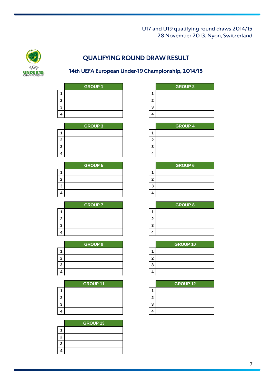

# QUALIFYING ROUND DRAW RESULT

# 14th UEFA European Under-19 Championship, 2014/15

|   | <b>GROUP 1</b> |   |
|---|----------------|---|
|   |                |   |
|   |                | 2 |
| 3 |                | 3 |
|   |                |   |

|   | <b>GROUP 3</b> |   |
|---|----------------|---|
|   |                |   |
| 2 |                | 2 |
| 3 |                | 2 |
|   |                |   |

|   | <b>GROUP 5</b> |   |
|---|----------------|---|
|   |                |   |
|   |                | 2 |
| ŋ |                | ≏ |
|   |                |   |

|   | <b>GROUP 7</b> |    |
|---|----------------|----|
|   |                |    |
|   |                | 2  |
| ຳ |                | ۰, |
|   |                |    |

|   | <b>GROUP 9</b> |   |
|---|----------------|---|
|   |                |   |
|   |                | 2 |
| ≏ |                | 2 |
|   |                |   |

|   | <b>GROUP 11</b> |   |
|---|-----------------|---|
|   |                 |   |
| 2 |                 | 2 |
| ≏ |                 | 2 |
|   |                 | Λ |

|   | <b>GROUP 13</b> |
|---|-----------------|
|   |                 |
| 2 |                 |
| 3 |                 |
| 4 |                 |

| <b>GROUP 1</b> |  | <b>GROUP 2</b> |
|----------------|--|----------------|
|                |  |                |
|                |  |                |
|                |  |                |
|                |  |                |

| <b>GROUP 3</b> |       | <b>GROUP 4</b> |  |
|----------------|-------|----------------|--|
|                |       |                |  |
|                | .,    |                |  |
|                | o<br> |                |  |
|                |       |                |  |

| <b>GROUP 5</b> |   | <b>GROUP 6</b> |
|----------------|---|----------------|
|                |   |                |
|                |   |                |
|                | 3 |                |
|                |   |                |

| <b>GROUP 7</b> |       | <b>GROUP 8</b> |
|----------------|-------|----------------|
|                |       |                |
|                | ٠     |                |
|                | o<br> |                |
|                |       |                |

| <b>GROUP 9</b> |        | <b>GROUP 10</b> |
|----------------|--------|-----------------|
|                |        |                 |
|                |        |                 |
|                | o<br>w |                 |
|                |        |                 |

| <b>GROUP 11</b> |   | <b>GROUP 12</b> |
|-----------------|---|-----------------|
|                 |   |                 |
|                 | ٠ |                 |
|                 | 3 |                 |
|                 | л |                 |